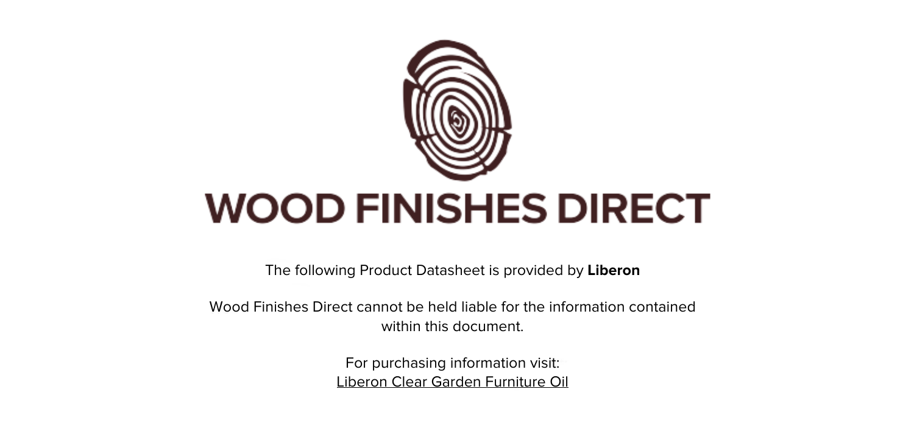

The following Product Datasheet is provided by **Liberon**

Wood Finishes Direct cannot be held liable for the information contained within this document.

> For purchasing information visit: [Liberon Clear Garden Furniture Oil](https://www.wood-finishes-direct.com/product/liberon-clear-garden-furniture-oil)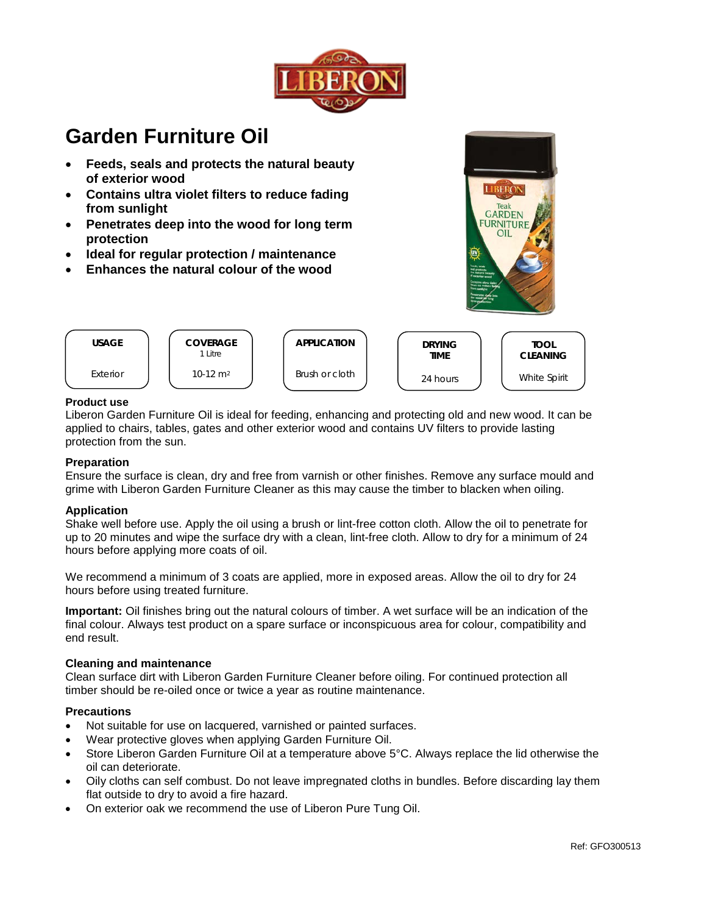

# **Garden Furniture Oil**

- Feeds, seals and protects the natural beauty of exterior wood
- Contains ultra violet filters to reduce fading from sunlight
- Penetrates deep into the wood for long term  $\bullet$ protection
- Ideal for regular protection / maintenance  $\bullet$
- Enhances the natural colour of the wood





## **Product use**

Liberon Garden Furniture Oil is ideal for feeding, enhancing and protecting old and new wood. It can be applied to chairs, tables, gates and other exterior wood and contains UV filters to provide lasting protection from the sun.

## **Preparation**

Ensure the surface is clean, dry and free from varnish or other finishes. Remove any surface mould and grime with Liberon Garden Furniture Cleaner as this may cause the timber to blacken when oiling.

#### **Application**

Shake well before use. Apply the oil using a brush or lint-free cotton cloth. Allow the oil to penetrate for up to 20 minutes and wipe the surface dry with a clean, lint-free cloth. Allow to dry for a minimum of 24 hours before applying more coats of oil.

We recommend a minimum of 3 coats are applied, more in exposed areas. Allow the oil to dry for 24 hours before using treated furniture.

Important: Oil finishes bring out the natural colours of timber. A wet surface will be an indication of the final colour. Always test product on a spare surface or inconspicuous area for colour, compatibility and end result.

#### **Cleaning and maintenance**

Clean surface dirt with Liberon Garden Furniture Cleaner before oiling. For continued protection all timber should be re-oiled once or twice a year as routine maintenance.

#### **Precautions**

- Not suitable for use on lacquered, varnished or painted surfaces.  $\bullet$
- Wear protective gloves when applying Garden Furniture Oil.
- Store Liberon Garden Furniture Oil at a temperature above 5°C. Always replace the lid otherwise the oil can deteriorate.
- Oily cloths can self combust. Do not leave impregnated cloths in bundles. Before discarding lay them flat outside to dry to avoid a fire hazard.
- On exterior oak we recommend the use of Liberon Pure Tung Oil.